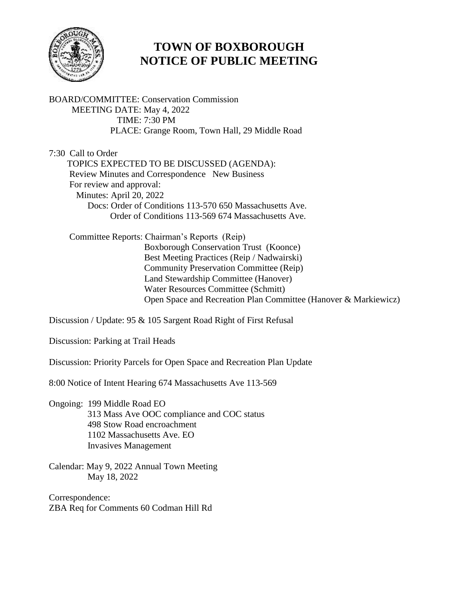

# **TOWN OF BOXBOROUGH NOTICE OF PUBLIC MEETING**

BOARD/COMMITTEE: Conservation Commission MEETING DATE: May 4, 2022 TIME: 7:30 PM PLACE: Grange Room, Town Hall, 29 Middle Road

7:30 Call to Order TOPICS EXPECTED TO BE DISCUSSED (AGENDA): Review Minutes and Correspondence New Business For review and approval: Minutes: April 20, 2022 Docs: Order of Conditions 113-570 650 Massachusetts Ave. Order of Conditions 113-569 674 Massachusetts Ave.

 Committee Reports: Chairman's Reports (Reip) Boxborough Conservation Trust (Koonce) Best Meeting Practices (Reip / Nadwairski) Community Preservation Committee (Reip) Land Stewardship Committee (Hanover) Water Resources Committee (Schmitt) Open Space and Recreation Plan Committee (Hanover & Markiewicz)

Discussion / Update: 95 & 105 Sargent Road Right of First Refusal

Discussion: Parking at Trail Heads

Discussion: Priority Parcels for Open Space and Recreation Plan Update

8:00 Notice of Intent Hearing 674 Massachusetts Ave 113-569

- Ongoing: 199 Middle Road EO 313 Mass Ave OOC compliance and COC status 498 Stow Road encroachment 1102 Massachusetts Ave. EO Invasives Management
- Calendar: May 9, 2022 Annual Town Meeting May 18, 2022

Correspondence: ZBA Req for Comments 60 Codman Hill Rd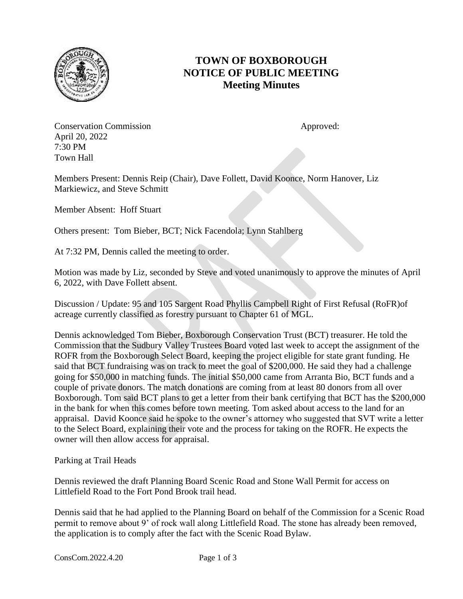

# **TOWN OF BOXBOROUGH NOTICE OF PUBLIC MEETING Meeting Minutes**

**Conservation Commission Approved:** Approved: April 20, 2022 7:30 PM Town Hall

Members Present: Dennis Reip (Chair), Dave Follett, David Koonce, Norm Hanover, Liz Markiewicz, and Steve Schmitt

Member Absent: Hoff Stuart

Others present: Tom Bieber, BCT; Nick Facendola; Lynn Stahlberg

At 7:32 PM, Dennis called the meeting to order.

Motion was made by Liz, seconded by Steve and voted unanimously to approve the minutes of April 6, 2022, with Dave Follett absent.

Discussion / Update: 95 and 105 Sargent Road Phyllis Campbell Right of First Refusal (RoFR)of acreage currently classified as forestry pursuant to Chapter 61 of MGL.

Dennis acknowledged Tom Bieber, Boxborough Conservation Trust (BCT) treasurer. He told the Commission that the Sudbury Valley Trustees Board voted last week to accept the assignment of the ROFR from the Boxborough Select Board, keeping the project eligible for state grant funding. He said that BCT fundraising was on track to meet the goal of \$200,000. He said they had a challenge going for \$50,000 in matching funds. The initial \$50,000 came from Arranta Bio, BCT funds and a couple of private donors. The match donations are coming from at least 80 donors from all over Boxborough. Tom said BCT plans to get a letter from their bank certifying that BCT has the \$200,000 in the bank for when this comes before town meeting. Tom asked about access to the land for an appraisal. David Koonce said he spoke to the owner's attorney who suggested that SVT write a letter to the Select Board, explaining their vote and the process for taking on the ROFR. He expects the owner will then allow access for appraisal.

Parking at Trail Heads

Dennis reviewed the draft Planning Board Scenic Road and Stone Wall Permit for access on Littlefield Road to the Fort Pond Brook trail head.

Dennis said that he had applied to the Planning Board on behalf of the Commission for a Scenic Road permit to remove about 9' of rock wall along Littlefield Road. The stone has already been removed, the application is to comply after the fact with the Scenic Road Bylaw.

ConsCom.2022.4.20 Page 1 of 3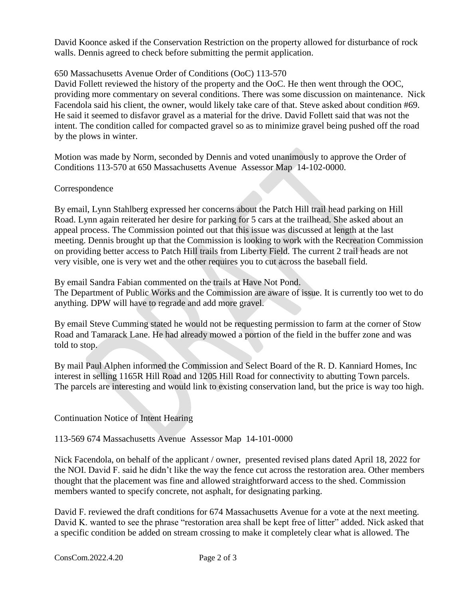David Koonce asked if the Conservation Restriction on the property allowed for disturbance of rock walls. Dennis agreed to check before submitting the permit application.

## 650 Massachusetts Avenue Order of Conditions (OoC) 113-570

David Follett reviewed the history of the property and the OoC. He then went through the OOC, providing more commentary on several conditions. There was some discussion on maintenance. Nick Facendola said his client, the owner, would likely take care of that. Steve asked about condition #69. He said it seemed to disfavor gravel as a material for the drive. David Follett said that was not the intent. The condition called for compacted gravel so as to minimize gravel being pushed off the road by the plows in winter.

Motion was made by Norm, seconded by Dennis and voted unanimously to approve the Order of Conditions 113-570 at 650 Massachusetts Avenue Assessor Map 14-102-0000.

#### **Correspondence**

By email, Lynn Stahlberg expressed her concerns about the Patch Hill trail head parking on Hill Road. Lynn again reiterated her desire for parking for 5 cars at the trailhead. She asked about an appeal process. The Commission pointed out that this issue was discussed at length at the last meeting. Dennis brought up that the Commission is looking to work with the Recreation Commission on providing better access to Patch Hill trails from Liberty Field. The current 2 trail heads are not very visible, one is very wet and the other requires you to cut across the baseball field.

By email Sandra Fabian commented on the trails at Have Not Pond. The Department of Public Works and the Commission are aware of issue. It is currently too wet to do anything. DPW will have to regrade and add more gravel.

By email Steve Cumming stated he would not be requesting permission to farm at the corner of Stow Road and Tamarack Lane. He had already mowed a portion of the field in the buffer zone and was told to stop.

By mail Paul Alphen informed the Commission and Select Board of the R. D. Kanniard Homes, Inc interest in selling 1165R Hill Road and 1205 Hill Road for connectivity to abutting Town parcels. The parcels are interesting and would link to existing conservation land, but the price is way too high.

Continuation Notice of Intent Hearing

113-569 674 Massachusetts Avenue Assessor Map 14-101-0000

Nick Facendola, on behalf of the applicant / owner, presented revised plans dated April 18, 2022 for the NOI. David F. said he didn't like the way the fence cut across the restoration area. Other members thought that the placement was fine and allowed straightforward access to the shed. Commission members wanted to specify concrete, not asphalt, for designating parking.

David F. reviewed the draft conditions for 674 Massachusetts Avenue for a vote at the next meeting. David K. wanted to see the phrase "restoration area shall be kept free of litter" added. Nick asked that a specific condition be added on stream crossing to make it completely clear what is allowed. The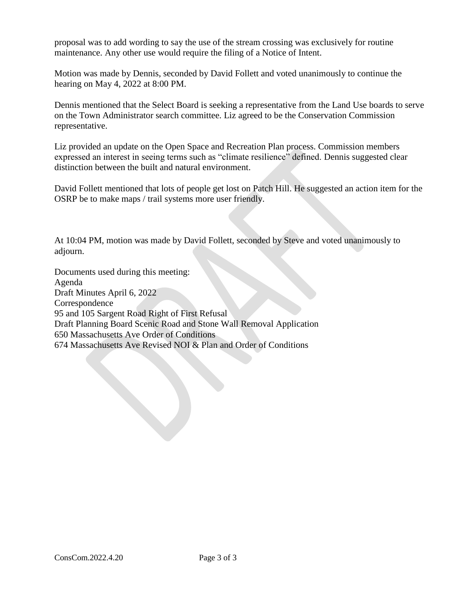proposal was to add wording to say the use of the stream crossing was exclusively for routine maintenance. Any other use would require the filing of a Notice of Intent.

Motion was made by Dennis, seconded by David Follett and voted unanimously to continue the hearing on May 4, 2022 at 8:00 PM.

Dennis mentioned that the Select Board is seeking a representative from the Land Use boards to serve on the Town Administrator search committee. Liz agreed to be the Conservation Commission representative.

Liz provided an update on the Open Space and Recreation Plan process. Commission members expressed an interest in seeing terms such as "climate resilience" defined. Dennis suggested clear distinction between the built and natural environment.

David Follett mentioned that lots of people get lost on Patch Hill. He suggested an action item for the OSRP be to make maps / trail systems more user friendly.

At 10:04 PM, motion was made by David Follett, seconded by Steve and voted unanimously to adjourn.

Documents used during this meeting: Agenda Draft Minutes April 6, 2022 Correspondence 95 and 105 Sargent Road Right of First Refusal Draft Planning Board Scenic Road and Stone Wall Removal Application 650 Massachusetts Ave Order of Conditions 674 Massachusetts Ave Revised NOI & Plan and Order of Conditions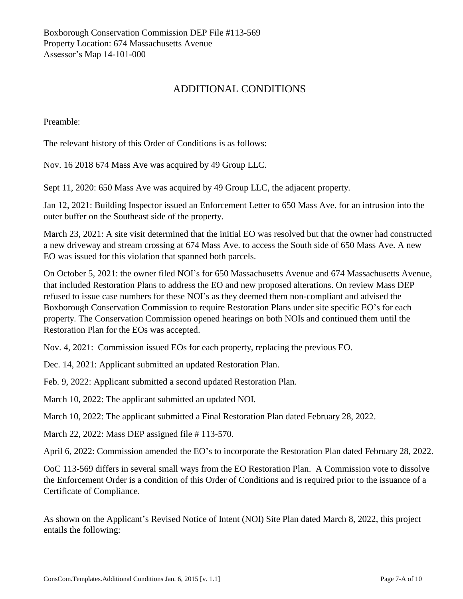# ADDITIONAL CONDITIONS

Preamble:

The relevant history of this Order of Conditions is as follows:

Nov. 16 2018 674 Mass Ave was acquired by 49 Group LLC.

Sept 11, 2020: 650 Mass Ave was acquired by 49 Group LLC, the adjacent property.

Jan 12, 2021: Building Inspector issued an Enforcement Letter to 650 Mass Ave. for an intrusion into the outer buffer on the Southeast side of the property.

March 23, 2021: A site visit determined that the initial EO was resolved but that the owner had constructed a new driveway and stream crossing at 674 Mass Ave. to access the South side of 650 Mass Ave. A new EO was issued for this violation that spanned both parcels.

On October 5, 2021: the owner filed NOI's for 650 Massachusetts Avenue and 674 Massachusetts Avenue, that included Restoration Plans to address the EO and new proposed alterations. On review Mass DEP refused to issue case numbers for these NOI's as they deemed them non-compliant and advised the Boxborough Conservation Commission to require Restoration Plans under site specific EO's for each property. The Conservation Commission opened hearings on both NOIs and continued them until the Restoration Plan for the EOs was accepted.

Nov. 4, 2021: Commission issued EOs for each property, replacing the previous EO.

Dec. 14, 2021: Applicant submitted an updated Restoration Plan.

Feb. 9, 2022: Applicant submitted a second updated Restoration Plan.

March 10, 2022: The applicant submitted an updated NOI.

March 10, 2022: The applicant submitted a Final Restoration Plan dated February 28, 2022.

March 22, 2022: Mass DEP assigned file # 113-570.

April 6, 2022: Commission amended the EO's to incorporate the Restoration Plan dated February 28, 2022.

OoC 113-569 differs in several small ways from the EO Restoration Plan. A Commission vote to dissolve the Enforcement Order is a condition of this Order of Conditions and is required prior to the issuance of a Certificate of Compliance.

As shown on the Applicant's Revised Notice of Intent (NOI) Site Plan dated March 8, 2022, this project entails the following: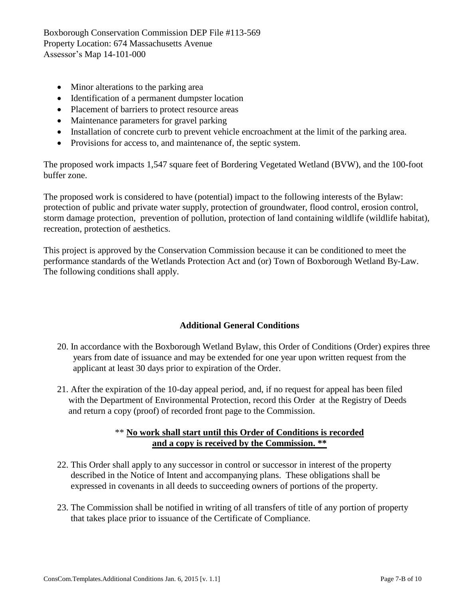- Minor alterations to the parking area
- Identification of a permanent dumpster location
- Placement of barriers to protect resource areas
- Maintenance parameters for gravel parking
- Installation of concrete curb to prevent vehicle encroachment at the limit of the parking area.
- Provisions for access to, and maintenance of, the septic system.

The proposed work impacts 1,547 square feet of Bordering Vegetated Wetland (BVW), and the 100-foot buffer zone.

The proposed work is considered to have (potential) impact to the following interests of the Bylaw: protection of public and private water supply, protection of groundwater, flood control, erosion control, storm damage protection, prevention of pollution, protection of land containing wildlife (wildlife habitat), recreation, protection of aesthetics.

This project is approved by the Conservation Commission because it can be conditioned to meet the performance standards of the Wetlands Protection Act and (or) Town of Boxborough Wetland By-Law. The following conditions shall apply.

### **Additional General Conditions**

- 20. In accordance with the Boxborough Wetland Bylaw, this Order of Conditions (Order) expires three years from date of issuance and may be extended for one year upon written request from the applicant at least 30 days prior to expiration of the Order.
- 21. After the expiration of the 10-day appeal period, and, if no request for appeal has been filed with the Department of Environmental Protection, record this Order at the Registry of Deeds and return a copy (proof) of recorded front page to the Commission.

### \*\* **No work shall start until this Order of Conditions is recorded and a copy is received by the Commission. \*\***

- 22. This Order shall apply to any successor in control or successor in interest of the property described in the Notice of Intent and accompanying plans. These obligations shall be expressed in covenants in all deeds to succeeding owners of portions of the property.
- 23. The Commission shall be notified in writing of all transfers of title of any portion of property that takes place prior to issuance of the Certificate of Compliance.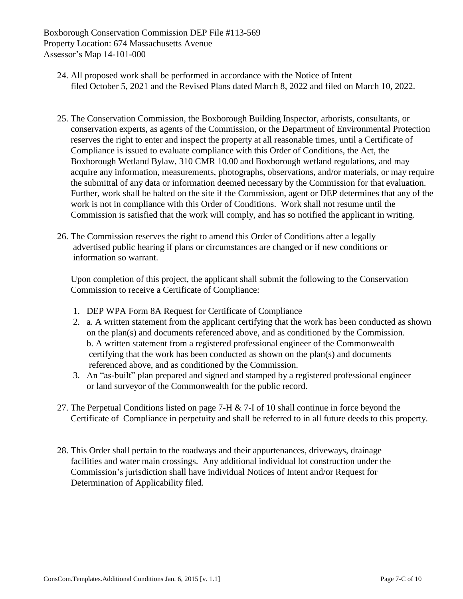- 24. All proposed work shall be performed in accordance with the Notice of Intent filed October 5, 2021 and the Revised Plans dated March 8, 2022 and filed on March 10, 2022.
- 25. The Conservation Commission, the Boxborough Building Inspector, arborists, consultants, or conservation experts, as agents of the Commission, or the Department of Environmental Protection reserves the right to enter and inspect the property at all reasonable times, until a Certificate of Compliance is issued to evaluate compliance with this Order of Conditions, the Act, the Boxborough Wetland Bylaw, 310 CMR 10.00 and Boxborough wetland regulations, and may acquire any information, measurements, photographs, observations, and/or materials, or may require the submittal of any data or information deemed necessary by the Commission for that evaluation. Further, work shall be halted on the site if the Commission, agent or DEP determines that any of the work is not in compliance with this Order of Conditions. Work shall not resume until the Commission is satisfied that the work will comply, and has so notified the applicant in writing.
- 26. The Commission reserves the right to amend this Order of Conditions after a legally advertised public hearing if plans or circumstances are changed or if new conditions or information so warrant.

 Upon completion of this project, the applicant shall submit the following to the Conservation Commission to receive a Certificate of Compliance:

- 1. DEP WPA Form 8A Request for Certificate of Compliance
- 2. a. A written statement from the applicant certifying that the work has been conducted as shown on the plan(s) and documents referenced above, and as conditioned by the Commission. b. A written statement from a registered professional engineer of the Commonwealth certifying that the work has been conducted as shown on the plan(s) and documents referenced above, and as conditioned by the Commission.
- 3. An "as-built" plan prepared and signed and stamped by a registered professional engineer or land surveyor of the Commonwealth for the public record.
- 27. The Perpetual Conditions listed on page 7-H & 7-I of 10 shall continue in force beyond the Certificate of Compliance in perpetuity and shall be referred to in all future deeds to this property.
- 28. This Order shall pertain to the roadways and their appurtenances, driveways, drainage facilities and water main crossings. Any additional individual lot construction under the Commission's jurisdiction shall have individual Notices of Intent and/or Request for Determination of Applicability filed.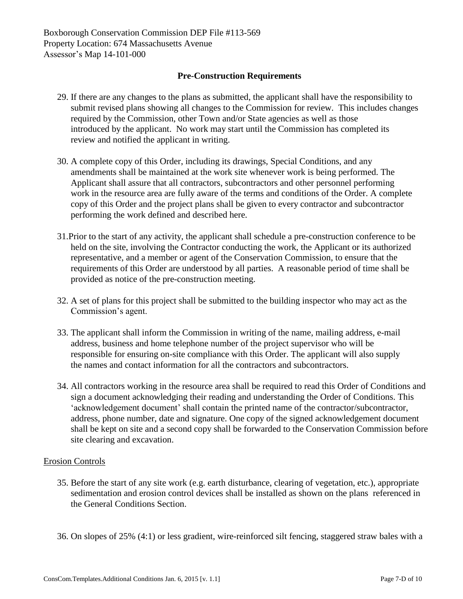#### **Pre-Construction Requirements**

- 29. If there are any changes to the plans as submitted, the applicant shall have the responsibility to submit revised plans showing all changes to the Commission for review. This includes changes required by the Commission, other Town and/or State agencies as well as those introduced by the applicant. No work may start until the Commission has completed its review and notified the applicant in writing.
- 30. A complete copy of this Order, including its drawings, Special Conditions, and any amendments shall be maintained at the work site whenever work is being performed. The Applicant shall assure that all contractors, subcontractors and other personnel performing work in the resource area are fully aware of the terms and conditions of the Order. A complete copy of this Order and the project plans shall be given to every contractor and subcontractor performing the work defined and described here.
- 31.Prior to the start of any activity, the applicant shall schedule a pre-construction conference to be held on the site, involving the Contractor conducting the work, the Applicant or its authorized representative, and a member or agent of the Conservation Commission, to ensure that the requirements of this Order are understood by all parties. A reasonable period of time shall be provided as notice of the pre-construction meeting.
- 32. A set of plans for this project shall be submitted to the building inspector who may act as the Commission's agent.
- 33. The applicant shall inform the Commission in writing of the name, mailing address, e-mail address, business and home telephone number of the project supervisor who will be responsible for ensuring on-site compliance with this Order. The applicant will also supply the names and contact information for all the contractors and subcontractors.
- 34. All contractors working in the resource area shall be required to read this Order of Conditions and sign a document acknowledging their reading and understanding the Order of Conditions. This 'acknowledgement document' shall contain the printed name of the contractor/subcontractor, address, phone number, date and signature. One copy of the signed acknowledgement document shall be kept on site and a second copy shall be forwarded to the Conservation Commission before site clearing and excavation.

### Erosion Controls

- 35. Before the start of any site work (e.g. earth disturbance, clearing of vegetation, etc.), appropriate sedimentation and erosion control devices shall be installed as shown on the plans referenced in the General Conditions Section.
- 36. On slopes of 25% (4:1) or less gradient, wire-reinforced silt fencing, staggered straw bales with a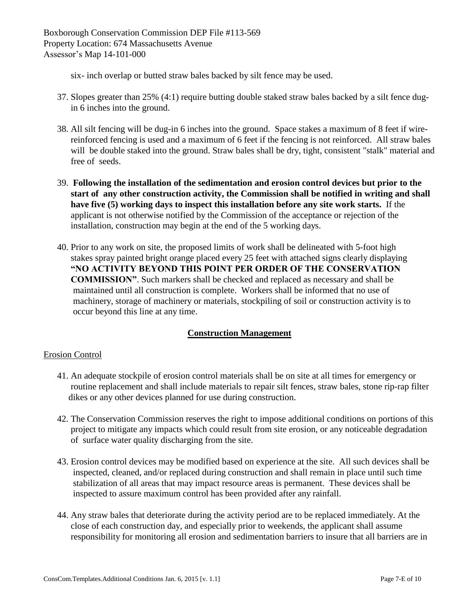six- inch overlap or butted straw bales backed by silt fence may be used.

- 37. Slopes greater than 25% (4:1) require butting double staked straw bales backed by a silt fence dugin 6 inches into the ground.
- 38. All silt fencing will be dug-in 6 inches into the ground. Space stakes a maximum of 8 feet if wire reinforced fencing is used and a maximum of 6 feet if the fencing is not reinforced. All straw bales will be double staked into the ground. Straw bales shall be dry, tight, consistent "stalk" material and free of seeds.
- 39. **Following the installation of the sedimentation and erosion control devices but prior to the start of any other construction activity, the Commission shall be notified in writing and shall have five (5) working days to inspect this installation before any site work starts.** If the applicant is not otherwise notified by the Commission of the acceptance or rejection of the installation, construction may begin at the end of the 5 working days.
- 40. Prior to any work on site, the proposed limits of work shall be delineated with 5-foot high stakes spray painted bright orange placed every 25 feet with attached signs clearly displaying **"NO ACTIVITY BEYOND THIS POINT PER ORDER OF THE CONSERVATION COMMISSION"**. Such markers shall be checked and replaced as necessary and shall be maintained until all construction is complete. Workers shall be informed that no use of machinery, storage of machinery or materials, stockpiling of soil or construction activity is to occur beyond this line at any time.

## **Construction Management**

### Erosion Control

- 41. An adequate stockpile of erosion control materials shall be on site at all times for emergency or routine replacement and shall include materials to repair silt fences, straw bales, stone rip-rap filter dikes or any other devices planned for use during construction.
- 42. The Conservation Commission reserves the right to impose additional conditions on portions of this project to mitigate any impacts which could result from site erosion, or any noticeable degradation of surface water quality discharging from the site.
- 43. Erosion control devices may be modified based on experience at the site. All such devices shall be inspected, cleaned, and/or replaced during construction and shall remain in place until such time stabilization of all areas that may impact resource areas is permanent. These devices shall be inspected to assure maximum control has been provided after any rainfall.
- 44. Any straw bales that deteriorate during the activity period are to be replaced immediately. At the close of each construction day, and especially prior to weekends, the applicant shall assume responsibility for monitoring all erosion and sedimentation barriers to insure that all barriers are in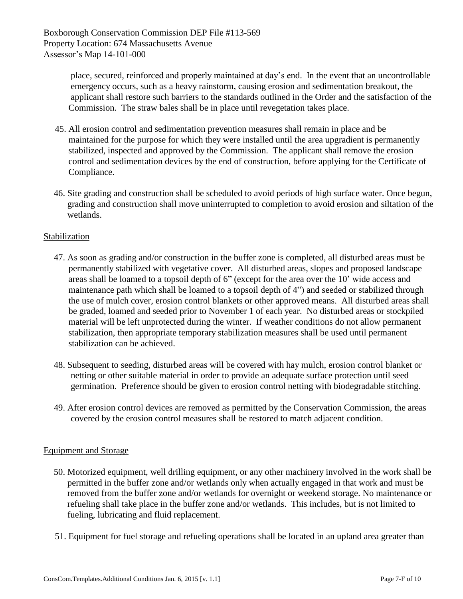place, secured, reinforced and properly maintained at day's end. In the event that an uncontrollable emergency occurs, such as a heavy rainstorm, causing erosion and sedimentation breakout, the applicant shall restore such barriers to the standards outlined in the Order and the satisfaction of the Commission. The straw bales shall be in place until revegetation takes place.

- 45. All erosion control and sedimentation prevention measures shall remain in place and be maintained for the purpose for which they were installed until the area upgradient is permanently stabilized, inspected and approved by the Commission. The applicant shall remove the erosion control and sedimentation devices by the end of construction, before applying for the Certificate of Compliance.
- 46. Site grading and construction shall be scheduled to avoid periods of high surface water. Once begun, grading and construction shall move uninterrupted to completion to avoid erosion and siltation of the wetlands.

### Stabilization

- 47. As soon as grading and/or construction in the buffer zone is completed, all disturbed areas must be permanently stabilized with vegetative cover. All disturbed areas, slopes and proposed landscape areas shall be loamed to a topsoil depth of 6" (except for the area over the 10' wide access and maintenance path which shall be loamed to a topsoil depth of 4") and seeded or stabilized through the use of mulch cover, erosion control blankets or other approved means. All disturbed areas shall be graded, loamed and seeded prior to November 1 of each year. No disturbed areas or stockpiled material will be left unprotected during the winter. If weather conditions do not allow permanent stabilization, then appropriate temporary stabilization measures shall be used until permanent stabilization can be achieved.
- 48. Subsequent to seeding, disturbed areas will be covered with hay mulch, erosion control blanket or netting or other suitable material in order to provide an adequate surface protection until seed germination. Preference should be given to erosion control netting with biodegradable stitching.
- 49. After erosion control devices are removed as permitted by the Conservation Commission, the areas covered by the erosion control measures shall be restored to match adjacent condition.

### Equipment and Storage

- 50. Motorized equipment, well drilling equipment, or any other machinery involved in the work shall be permitted in the buffer zone and/or wetlands only when actually engaged in that work and must be removed from the buffer zone and/or wetlands for overnight or weekend storage. No maintenance or refueling shall take place in the buffer zone and/or wetlands. This includes, but is not limited to fueling, lubricating and fluid replacement.
- 51. Equipment for fuel storage and refueling operations shall be located in an upland area greater than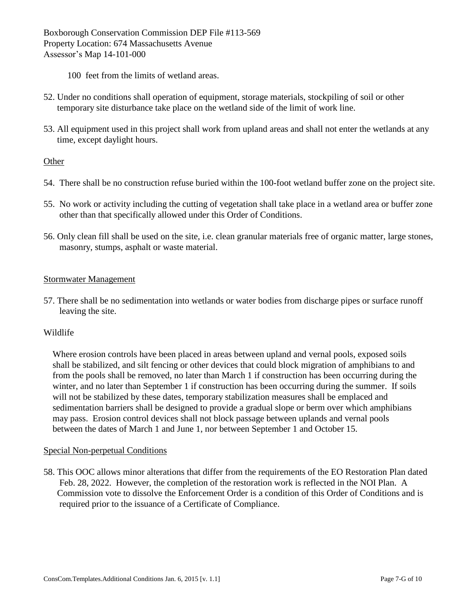- 100 feet from the limits of wetland areas.
- 52. Under no conditions shall operation of equipment, storage materials, stockpiling of soil or other temporary site disturbance take place on the wetland side of the limit of work line.
- 53. All equipment used in this project shall work from upland areas and shall not enter the wetlands at any time, except daylight hours.

#### Other

- 54. There shall be no construction refuse buried within the 100-foot wetland buffer zone on the project site.
- 55. No work or activity including the cutting of vegetation shall take place in a wetland area or buffer zone other than that specifically allowed under this Order of Conditions.
- 56. Only clean fill shall be used on the site, i.e. clean granular materials free of organic matter, large stones, masonry, stumps, asphalt or waste material.

#### Stormwater Management

57. There shall be no sedimentation into wetlands or water bodies from discharge pipes or surface runoff leaving the site.

#### Wildlife

 Where erosion controls have been placed in areas between upland and vernal pools, exposed soils shall be stabilized, and silt fencing or other devices that could block migration of amphibians to and from the pools shall be removed, no later than March 1 if construction has been occurring during the winter, and no later than September 1 if construction has been occurring during the summer. If soils will not be stabilized by these dates, temporary stabilization measures shall be emplaced and sedimentation barriers shall be designed to provide a gradual slope or berm over which amphibians may pass. Erosion control devices shall not block passage between uplands and vernal pools between the dates of March 1 and June 1, nor between September 1 and October 15.

#### Special Non-perpetual Conditions

58. This OOC allows minor alterations that differ from the requirements of the EO Restoration Plan dated Feb. 28, 2022. However, the completion of the restoration work is reflected in the NOI Plan. A Commission vote to dissolve the Enforcement Order is a condition of this Order of Conditions and is required prior to the issuance of a Certificate of Compliance.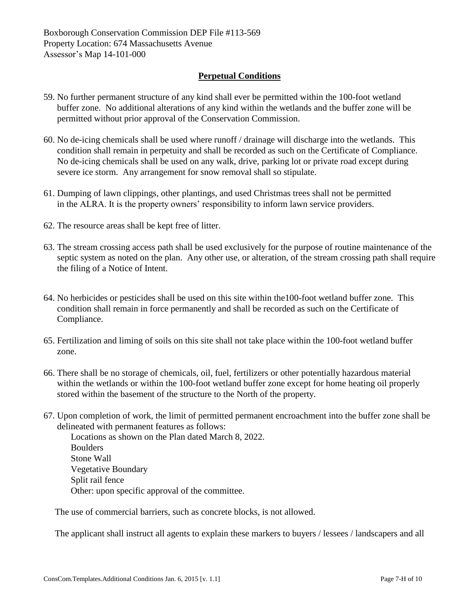#### **Perpetual Conditions**

- 59. No further permanent structure of any kind shall ever be permitted within the 100-foot wetland buffer zone. No additional alterations of any kind within the wetlands and the buffer zone will be permitted without prior approval of the Conservation Commission.
- 60. No de-icing chemicals shall be used where runoff / drainage will discharge into the wetlands. This condition shall remain in perpetuity and shall be recorded as such on the Certificate of Compliance. No de-icing chemicals shall be used on any walk, drive, parking lot or private road except during severe ice storm. Any arrangement for snow removal shall so stipulate.
- 61. Dumping of lawn clippings, other plantings, and used Christmas trees shall not be permitted in the ALRA. It is the property owners' responsibility to inform lawn service providers.
- 62. The resource areas shall be kept free of litter.
- 63. The stream crossing access path shall be used exclusively for the purpose of routine maintenance of the septic system as noted on the plan. Any other use, or alteration, of the stream crossing path shall require the filing of a Notice of Intent.
- 64. No herbicides or pesticides shall be used on this site within the100-foot wetland buffer zone. This condition shall remain in force permanently and shall be recorded as such on the Certificate of Compliance.
- 65. Fertilization and liming of soils on this site shall not take place within the 100-foot wetland buffer zone.
- 66. There shall be no storage of chemicals, oil, fuel, fertilizers or other potentially hazardous material within the wetlands or within the 100-foot wetland buffer zone except for home heating oil properly stored within the basement of the structure to the North of the property.
- 67. Upon completion of work, the limit of permitted permanent encroachment into the buffer zone shall be delineated with permanent features as follows:

 Locations as shown on the Plan dated March 8, 2022. Boulders Stone Wall Vegetative Boundary Split rail fence Other: upon specific approval of the committee.

The use of commercial barriers, such as concrete blocks, is not allowed.

The applicant shall instruct all agents to explain these markers to buyers / lessees / landscapers and all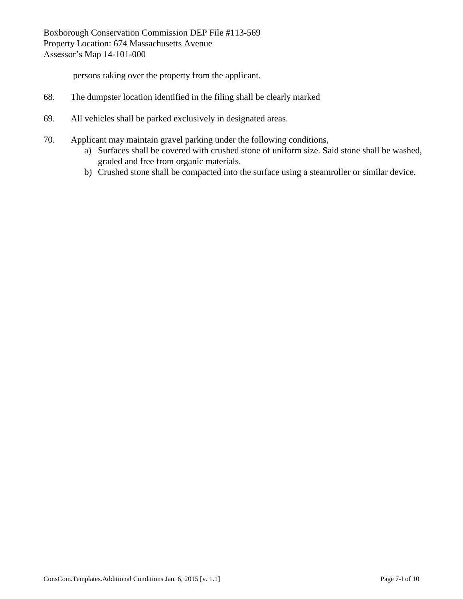persons taking over the property from the applicant.

- 68. The dumpster location identified in the filing shall be clearly marked
- 69. All vehicles shall be parked exclusively in designated areas.
- 70. Applicant may maintain gravel parking under the following conditions,
	- a) Surfaces shall be covered with crushed stone of uniform size. Said stone shall be washed, graded and free from organic materials.
	- b) Crushed stone shall be compacted into the surface using a steamroller or similar device.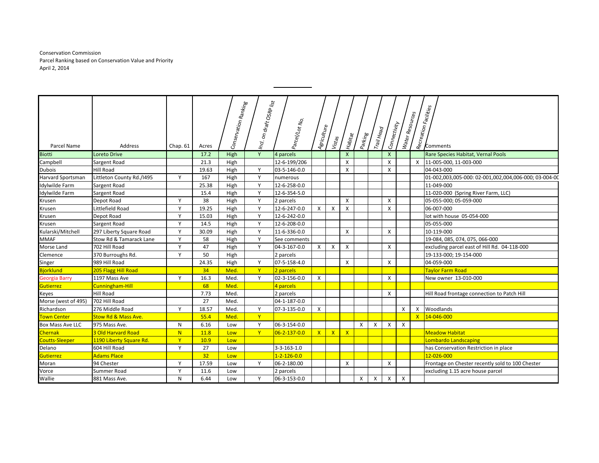Conservation Commission Parcel Ranking based on Conservation Value and Priority April 2, 2014

|                         |                           |              |       |                      | on draft OSRP list |                     |              |        |                           |          |              |              |                 |                       |                                                       |
|-------------------------|---------------------------|--------------|-------|----------------------|--------------------|---------------------|--------------|--------|---------------------------|----------|--------------|--------------|-----------------|-----------------------|-------------------------------------------------------|
|                         |                           |              |       |                      |                    |                     |              |        |                           |          |              |              |                 |                       |                                                       |
|                         |                           |              |       |                      |                    |                     |              |        |                           |          |              |              |                 |                       |                                                       |
| Parcel Name             | <b>Address</b>            | Chap. $61$   | Acres | Conservation Ranking | $ln_{Cl}$          | Parcel/Lot No.      | Agriculture  | Vistas | <b>Habitat</b>            | Parking  | Trail Head   | Connectivity | Water Resources | Recreation Facilities | Comments                                              |
| <b>Biotti</b>           | <b>Loreto Drive</b>       |              | 17.2  | High                 | Y                  | 4 parcels           |              |        | $\mathsf{X}$              |          |              | $\mathsf{x}$ |                 |                       | Rare Species Habitat, Vernal Pools                    |
| Campbell                | Sargent Road              |              | 21.3  | High                 |                    | 12-6-199/206        |              |        | X                         |          |              | X            |                 |                       | X 11-005-000, 11-003-000                              |
| <b>Dubois</b>           | Hill Road                 |              | 19.63 | High                 | Y                  | 03-5-146-0.0        |              |        | X                         |          |              | X            |                 |                       | 04-043-000                                            |
| Harvard Sportsman       | Littleton County Rd./1495 | Y            | 167   | High                 | Y                  | numerous            |              |        |                           |          |              |              |                 |                       | 01-002,003,005-000: 02-001,002,004,006-000; 03-004-00 |
| Idylwilde Farm          | Sargent Road              |              | 25.38 | High                 | Y                  | 12-6-258-0.0        |              |        |                           |          |              |              |                 |                       | 11-049-000                                            |
| Idylwilde Farm          | Sargent Road              |              | 15.4  | High                 | Y                  | 12-6-354-5.0        |              |        |                           |          |              |              |                 |                       | 11-020-000 (Spring River Farm, LLC)                   |
| Krusen                  | Depot Road                | Y            | 38    | High                 | Y                  | 2 parcels           |              |        | X                         |          |              | X            |                 |                       | 05-055-000; 05-059-000                                |
| Krusen                  | Littlefield Road          | Y            | 19.25 | High                 | Y                  | 12-6-247-0.0        | X            | Χ      | X                         |          |              | X            |                 |                       | 06-007-000                                            |
| Krusen                  | Depot Road                | Y            | 15.03 | High                 | Y                  | 12-6-242-0.0        |              |        |                           |          |              |              |                 |                       | lot with house 05-054-000                             |
| Krusen                  | Sargent Road              | Y            | 14.5  | High                 | Y                  | 12-6-208-0.0        |              |        |                           |          |              |              |                 |                       | 05-055-000                                            |
| Kularski/Mitchell       | 297 Liberty Square Road   | Y            | 30.09 | High                 | Y                  | 11-6-336-0.0        |              |        | X                         |          |              | X            |                 |                       | 10-119-000                                            |
| <b>MMAF</b>             | Stow Rd & Tamarack Lane   | Y            | 58    | High                 | Y                  | See comments        |              |        |                           |          |              |              |                 |                       | 19-084, 085, 074, 075, 066-000                        |
| Morse Land              | 702 Hill Road             | Y            | 47    | High                 | Y                  | 04-3-167-0.0        | $\mathsf{x}$ | X      | $\boldsymbol{\mathsf{X}}$ |          |              | X            |                 |                       | excluding parcel east of Hill Rd. 04-118-000          |
| Clemence                | 370 Burroughs Rd.         | Υ            | 50    | High                 |                    | 2 parcels           |              |        |                           |          |              |              |                 |                       | 19-133-000; 19-154-000                                |
| Singer                  | 989 Hill Road             |              | 24.35 | High                 | Y                  | 07-5-158-4.0        |              |        | X                         |          |              | X            |                 |                       | 04-059-000                                            |
| <b>Bjorklund</b>        | 205 Flagg Hill Road       |              | 34    | Med.                 | $\mathsf{Y}$       | 2 parcels           |              |        |                           |          |              |              |                 |                       | <b>Taylor Farm Road</b>                               |
| <b>Georgia Barry</b>    | 1197 Mass Ave             | Y            | 16.3  | Med.                 | Y                  | 02-3-156-0.0        | $\times$     |        |                           |          |              | X            |                 |                       | New owner 13-010-000                                  |
| Gutierrez               | Cunningham-Hill           |              | 68    | Med.                 |                    | 4 parcels           |              |        |                           |          |              |              |                 |                       |                                                       |
| Keyes                   | <b>Hill Road</b>          |              | 7.73  | Med.                 |                    | 2 parcels           |              |        |                           |          |              | X            |                 |                       | Hill Road frontage connection to Patch Hill           |
| Morse (west of 495)     | 702 Hill Road             |              | 27    | Med.                 |                    | 04-1-187-0.0        |              |        |                           |          |              |              |                 |                       |                                                       |
| Richardson              | 276 Middle Road           | Y            | 18.57 | Med.                 | Y                  | 07-3-135-0.0        | X            |        |                           |          |              |              | X               |                       | X Woodlands                                           |
| Town Center             | Stow Rd & Mass Ave.       |              | 55.4  | Med.                 | Y                  |                     |              |        |                           |          |              |              |                 |                       | X 24-046-000                                          |
| <b>Box Mass Ave LLC</b> | 975 Mass Ave.             | N            | 6.16  | Low                  | Y                  | 06-3-154-0.0        |              |        |                           | $\times$ | $\times$     | $\times$     | X               |                       |                                                       |
| <b>Chernak</b>          | 3 Old Harvard Road        | N            | 11.8  | Low                  | Y                  | 06-2-137-0.0        | X            | X      | $\mathbf{x}$              |          |              |              |                 |                       | <b>Meadow Habitat</b>                                 |
| <b>Coutts-Sleeper</b>   | 1190 Liberty Square Rd.   | $\mathbf{Y}$ | 10.9  | Low                  |                    |                     |              |        |                           |          |              |              |                 |                       | Lombardo Landscaping                                  |
| Delano                  | 604 Hill Road             | Y            | 27    | Low                  |                    | 3-3-163-1.0         |              |        |                           |          |              |              |                 |                       | has Conservation Restriction in place                 |
| <b>Gutierrez</b>        | <b>Adams Place</b>        |              | 32    | Low                  |                    | $1 - 2 - 126 - 0.0$ |              |        |                           |          |              |              |                 |                       | 12-026-000                                            |
| Moran                   | 94 Chester                | Y            | 17.59 | Low                  | Y                  | 06-2-180.00         |              |        | X                         |          |              | X            |                 |                       | Frontage on Chester recently sold to 100 Chester      |
| Vorce                   | Summer Road               | Y            | 11.6  | Low                  |                    | 2 parcels           |              |        |                           |          |              |              |                 |                       | excluding 1.15 acre house parcel                      |
| Wallie                  | 881 Mass Ave.             | N            | 6.44  | Low                  | Y                  | 06-3-153-0.0        |              |        |                           | X        | $\mathsf{X}$ | $\mathsf{X}$ | X               |                       |                                                       |